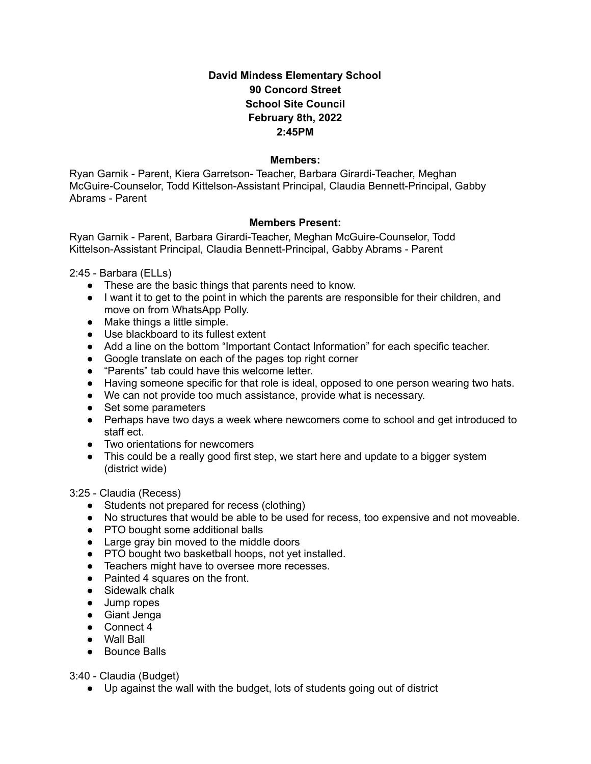## **David Mindess Elementary School 90 Concord Street School Site Council February 8th, 2022 2:45PM**

## **Members:**

Ryan Garnik - Parent, Kiera Garretson- Teacher, Barbara Girardi-Teacher, Meghan McGuire-Counselor, Todd Kittelson-Assistant Principal, Claudia Bennett-Principal, Gabby Abrams - Parent

## **Members Present:**

Ryan Garnik - Parent, Barbara Girardi-Teacher, Meghan McGuire-Counselor, Todd Kittelson-Assistant Principal, Claudia Bennett-Principal, Gabby Abrams - Parent

2:45 - Barbara (ELLs)

- These are the basic things that parents need to know.
- I want it to get to the point in which the parents are responsible for their children, and move on from WhatsApp Polly.
- $\bullet$  Make things a little simple.
- Use blackboard to its fullest extent
- Add a line on the bottom "Important Contact Information" for each specific teacher.
- Google translate on each of the pages top right corner
- "Parents" tab could have this welcome letter.
- Having someone specific for that role is ideal, opposed to one person wearing two hats.
- We can not provide too much assistance, provide what is necessary.
- Set some parameters
- Perhaps have two days a week where newcomers come to school and get introduced to staff ect.
- Two orientations for newcomers
- This could be a really good first step, we start here and update to a bigger system (district wide)

3:25 - Claudia (Recess)

- Students not prepared for recess (clothing)
- No structures that would be able to be used for recess, too expensive and not moveable.
- PTO bought some additional balls
- Large gray bin moved to the middle doors
- PTO bought two basketball hoops, not yet installed.
- Teachers might have to oversee more recesses.
- Painted 4 squares on the front.
- Sidewalk chalk
- Jump ropes
- Giant Jenga
- Connect 4
- Wall Ball
- Bounce Balls

3:40 - Claudia (Budget)

● Up against the wall with the budget, lots of students going out of district